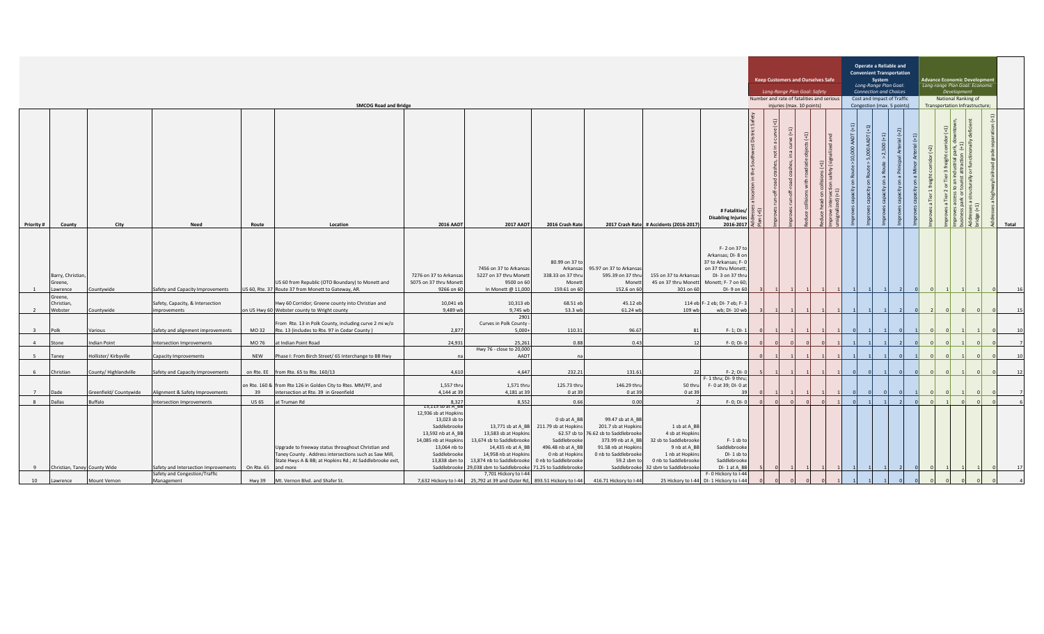| <b>SMCOG Road and Bridge</b> |                                         |                        |                                                  |                     |                                                                                                                                                                          |                                                                                                                                                    |                                                                                                                                                                                              |                                                                                                                                                       |                                                                                                                                                       |                                                                                                                                                            | <b>Keep Customers and Ourselves Safe</b><br>Long-Range Plan Goal: Safety<br>Number and rate of fatalities and serious<br>injuries (max. 10 points) |                                                            |                        |                                            | Operate a Reliable and<br><b>Convenient Transportation</b><br>System<br>Long-Range Plan Goal:<br><b>Connection and Choices</b><br>Cost and Impact of Traffic<br>Congestion (max. 5 points) |   |                                                             |  | Advance Economic Developmen<br>Long-range Plan Goal: Economic<br>Development<br>National Ranking of<br>Transportation Infrastructure; |                      |                                               |                               |            |       |
|------------------------------|-----------------------------------------|------------------------|--------------------------------------------------|---------------------|--------------------------------------------------------------------------------------------------------------------------------------------------------------------------|----------------------------------------------------------------------------------------------------------------------------------------------------|----------------------------------------------------------------------------------------------------------------------------------------------------------------------------------------------|-------------------------------------------------------------------------------------------------------------------------------------------------------|-------------------------------------------------------------------------------------------------------------------------------------------------------|------------------------------------------------------------------------------------------------------------------------------------------------------------|----------------------------------------------------------------------------------------------------------------------------------------------------|------------------------------------------------------------|------------------------|--------------------------------------------|--------------------------------------------------------------------------------------------------------------------------------------------------------------------------------------------|---|-------------------------------------------------------------|--|---------------------------------------------------------------------------------------------------------------------------------------|----------------------|-----------------------------------------------|-------------------------------|------------|-------|
| Priority #                   | County                                  | City                   | Need                                             | Route               | Location                                                                                                                                                                 | <b>2016 AADT</b>                                                                                                                                   | <b>2017 AADT</b>                                                                                                                                                                             | 2016 Crash Rate                                                                                                                                       |                                                                                                                                                       | 2017 Crash Rate # Accidents (2016-2017)                                                                                                                    | # Fatalities/<br><b>Disabling Injuries</b><br>2016-2017                                                                                            | $\geq$<br>$\overline{t}$<br>$\overline{5}$<br>$=$<br>រី ភ្ | ₽<br>(e(1)<br>$\equiv$ | $\widehat{\mathfrak{t}}$<br>$\mathfrak{a}$ | $\widehat{\mathfrak{m}}$                                                                                                                                                                   | Ĕ | $\widehat{\Xi}$<br>AADT (+1)<br>AADT<br>8 <sub>0</sub><br>g |  | $al (+2)$                                                                                                                             | $(1+)$ ls<br>$+2)$   | $\left  \frac{1}{2} \right $<br>ŏ<br>$\sigma$ | let<br>$\widehat{\mathbf{H}}$ |            | Total |
|                              | Barry, Christian,<br>Greene,<br>awrence | Countywide             | Safety and Capacity Improvements                 |                     | US 60 from Republic (OTO Boundary) to Monett and<br>US 60, Rte. 37 Route 37 from Monett to Gateway, AR.                                                                  | 7276 on 37 to Arkansas<br>5075 on 37 thru Monett<br>9266 on 60                                                                                     | 7456 on 37 to Arkansas<br>5227 on 37 thru Monett<br>9500 on 60<br>In Monett @ 11,000                                                                                                         | 80.99 on 37 to<br>Arkansas<br>338.33 on 37 thru<br>Monett<br>159.61 on 60                                                                             | 95.97 on 37 to Arkansas<br>595.39 on 37 thru<br>Monett<br>152.6 on 60                                                                                 | 155 on 37 to Arkansas<br>45 on 37 thru Monett Monett; F- 7 on 60;<br>301 on 60                                                                             | F-2 on 37 to<br>Arkansas; DI-8 on<br>37 to Arkansas; F-0<br>on 37 thru Monett;<br>DI-3 on 37 thru<br>DI-9 on 60                                    |                                                            |                        |                                            |                                                                                                                                                                                            |   |                                                             |  |                                                                                                                                       |                      |                                               |                               |            |       |
| $\overline{2}$               | Greene,<br>Christian,<br>Webster        | Countywide             | Safety, Capacity, & Intersection<br>improvements |                     | Hwy 60 Corridor; Greene county into Christian and<br>on US Hwy 60 Webster county to Wright county                                                                        | 10,041 eb<br>9,489 wb                                                                                                                              | 10,313 eb<br>9,745 wb                                                                                                                                                                        | 68.51 eb<br>53.3 wb                                                                                                                                   | 45.12 eb<br>61.24 wb                                                                                                                                  | 109 wb                                                                                                                                                     | 114 eb F- 2 eb; DI- 7 eb; F- 3<br>wb; DI-10 wb                                                                                                     |                                                            |                        |                                            |                                                                                                                                                                                            |   |                                                             |  |                                                                                                                                       |                      |                                               |                               |            |       |
| $\overline{\mathbf{3}}$      | Polk                                    | Various                | Safety and alignment improvements                | MO 32               | From Rte. 13 in Polk County, including curve 2 mi w/o<br>Rte. 13 (includes to Rte. 97 in Cedar County)                                                                   | 2,877                                                                                                                                              | 2901<br>Curves in Polk County<br>$5,000+$                                                                                                                                                    | 110.31                                                                                                                                                | 96.67                                                                                                                                                 | 81                                                                                                                                                         | F-1; DI-1                                                                                                                                          |                                                            |                        |                                            |                                                                                                                                                                                            |   |                                                             |  |                                                                                                                                       |                      |                                               |                               |            |       |
| $\overline{4}$               | Stone                                   | <b>Indian Point</b>    | Intersection Improvements                        | MO 76               | at Indian Point Road                                                                                                                                                     | 24.931                                                                                                                                             | 25,261                                                                                                                                                                                       | 0.88                                                                                                                                                  | 0.43                                                                                                                                                  | 12                                                                                                                                                         | F-0; DI-0                                                                                                                                          |                                                            |                        |                                            |                                                                                                                                                                                            |   |                                                             |  |                                                                                                                                       |                      |                                               |                               |            |       |
| 5                            | Taney                                   | Hollister/Kirbyville   | <b>Capacity Improvements</b>                     | <b>NEW</b>          | Phase I: From Birch Street/ 65 Interchange to BB Hwy                                                                                                                     |                                                                                                                                                    | Hwy 76 - close to 20,000<br>AADT                                                                                                                                                             | n <sub>i</sub>                                                                                                                                        |                                                                                                                                                       |                                                                                                                                                            |                                                                                                                                                    |                                                            |                        |                                            |                                                                                                                                                                                            |   |                                                             |  |                                                                                                                                       |                      |                                               |                               |            |       |
|                              | Christian                               | County/Highlandville   | Safety and Capacity Improvements                 |                     | on Rte. EE from Rte. 65 to Rte. 160/13                                                                                                                                   | 4,610                                                                                                                                              | 4.647                                                                                                                                                                                        | 232.21                                                                                                                                                | 131.61                                                                                                                                                |                                                                                                                                                            | F-2; DI-0                                                                                                                                          |                                                            |                        |                                            |                                                                                                                                                                                            |   |                                                             |  |                                                                                                                                       |                      |                                               |                               |            |       |
| $\overline{7}$               | Dade                                    | Greenfield/ Countywide | Alignment & Safety Improvements                  | 39                  | on Rte. 160 & from Rte 126 in Golden City to Rtes. MM/FF, and<br>intersection at Rte. 39 in Greenfield                                                                   | 1,557 thru<br>4,144 at 39                                                                                                                          | 1,571 thru<br>4,181 at 39                                                                                                                                                                    | 125.73 thru<br>0 at 39                                                                                                                                | 146.29 thru<br>0 at 39                                                                                                                                | 50 thru<br>0 at 39                                                                                                                                         | F- 1 thru; DI- 9 thru;<br>F-0 at 39; DI-0 at                                                                                                       |                                                            |                        |                                            |                                                                                                                                                                                            |   |                                                             |  |                                                                                                                                       |                      |                                               |                               |            |       |
| 8 <sup>1</sup>               | Dallas                                  | Buffalo                | Intersection Improvements                        | <b>US 65</b>        | at Truman Rd                                                                                                                                                             | 8,327<br>T3,115 sp at A_BB                                                                                                                         | 8,552                                                                                                                                                                                        | 0.66                                                                                                                                                  | 0.00                                                                                                                                                  |                                                                                                                                                            | $F - 0$ ; DI-0                                                                                                                                     |                                                            | $\cap$                 | $\Omega$                                   |                                                                                                                                                                                            |   | $\Omega$                                                    |  |                                                                                                                                       | $\Omega$<br>$\Omega$ |                                               | $\Omega$                      | $\sqrt{2}$ |       |
| - 9                          | Christian, Taney County Wide            |                        | Safety and Intersection Improvements             | On Rte. 65 and more | Upgrade to freeway status throughout Christian and<br>Taney County . Address intersections such as Saw Mill,<br>State Hwys A & BB; at Hopkins Rd.; At Saddlebrooke exit, | 12,936 sb at Hopkins<br>13,023 sb to<br>Saddlebrooke<br>13,592 nb at A_BB<br>14,085 nb at Hopkins<br>13,064 nb to<br>Saddlebrooke<br>13,838 sbm to | 13,583 sb at Hopkins<br>13,674 sb to Saddlebrooke<br>14,435 nb at A_BB<br>14,958 nb at Hopkins<br>13,874 nb to Saddlebrooke<br>Saddlebrooke 29,038 sbm to Saddlebrooke 71.25 to Saddlebrooke | 0 sb at A_BB<br>13,771 sb at A_BB 211.79 sb at Hopkins<br>62.57 sb to<br>Saddlebrooke<br>496.48 nb at A_BB<br>0 nb at Hopkins<br>0 nb to Saddlebrooke | 99.47 sb at A_BB<br>201.7 sb at Hopkins<br>6.62 sb to Saddlebrooke<br>373.99 nb at A BB<br>91.58 nb at Hopkins<br>0 nb to Saddlebrooke<br>59.2 sbm to | 1 sb at A BB<br>4 sb at Hopkins<br>32 sb to Saddlebrooke<br>9 nb at A_BB<br>1 nb at Hopkins<br>0 nb to Saddlebrooke<br>Saddlebrooke 32 sbm to Saddlebrooke | $F - 1$ sb to<br>Saddlebrooke<br>DI-1 sb to<br>Saddlebrooke<br>DI-1 at A BB                                                                        |                                                            |                        |                                            |                                                                                                                                                                                            |   |                                                             |  |                                                                                                                                       |                      |                                               |                               |            |       |
| 10                           | Lawrence                                | Mount Vernon           | Safety and Congestion/Traffic<br>Management      | Hwy 39              | Mt. Vernon Blvd. and Shafer St.                                                                                                                                          |                                                                                                                                                    | 7,701 Hickory to I-44<br>7,632 Hickory to I-44 25,792 at 39 and Outer Rd, 893.51 Hickory to I-44                                                                                             |                                                                                                                                                       | 416.71 Hickory to I-44                                                                                                                                | 25 Hickory to I-44 DI-1 Hickory to I-44                                                                                                                    | F-0 Hickory to I-44                                                                                                                                |                                                            |                        |                                            |                                                                                                                                                                                            |   |                                                             |  |                                                                                                                                       |                      |                                               |                               |            |       |